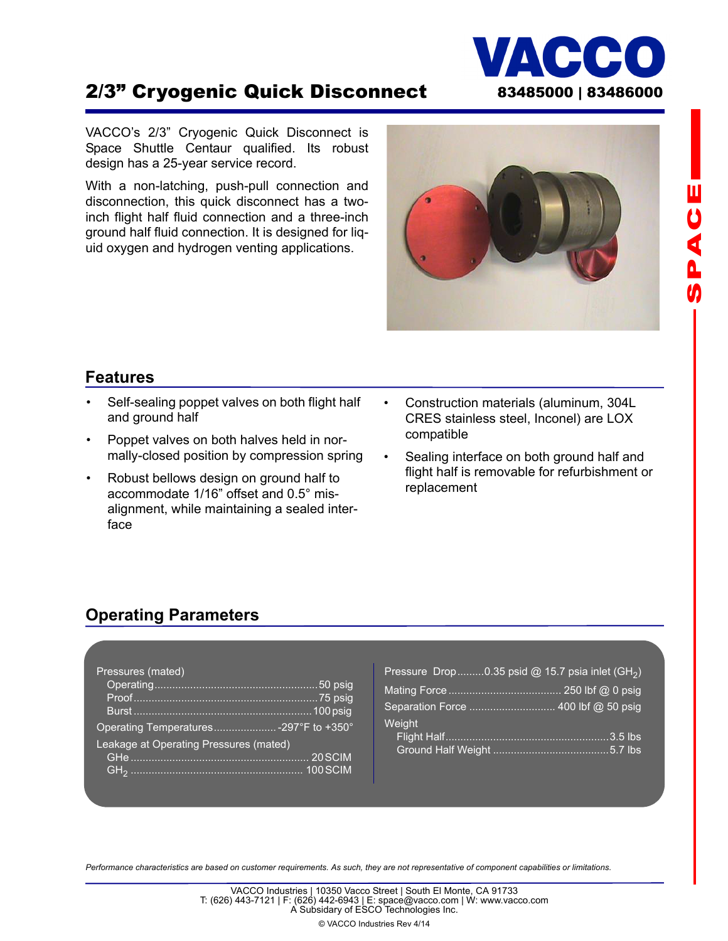## 2/3" Cryogenic Quick Disconnect 83485000 | 83486000

VACCO's 2/3" Cryogenic Quick Disconnect is Space Shuttle Centaur qualified. Its robust design has a 25-year service record.

With a non-latching, push-pull connection and disconnection, this quick disconnect has a twoinch flight half fluid connection and a three-inch ground half fluid connection. It is designed for liquid oxygen and hydrogen venting applications.

# **Features**

- Self-sealing poppet valves on both flight half and ground half
- Poppet valves on both halves held in normally-closed position by compression spring
- Robust bellows design on ground half to accommodate 1/16" offset and 0.5° misalignment, while maintaining a sealed interface
- Construction materials (aluminum, 304L CRES stainless steel, Inconel) are LOX compatible
- Sealing interface on both ground half and flight half is removable for refurbishment or replacement

#### **Operating Parameters**

| Pressures (mated)                      |  |  |
|----------------------------------------|--|--|
| Operating Temperatures -297°F to +350° |  |  |
| Leakage at Operating Pressures (mated) |  |  |
|                                        |  |  |
|                                        |  |  |

| Pressure Drop0.35 psid @ 15.7 psia inlet $(H_2)$ |  |
|--------------------------------------------------|--|
|                                                  |  |
|                                                  |  |
| Weight                                           |  |
|                                                  |  |

*Performance characteristics are based on customer requirements. As such, they are not representative of component capabilities or limitations.*